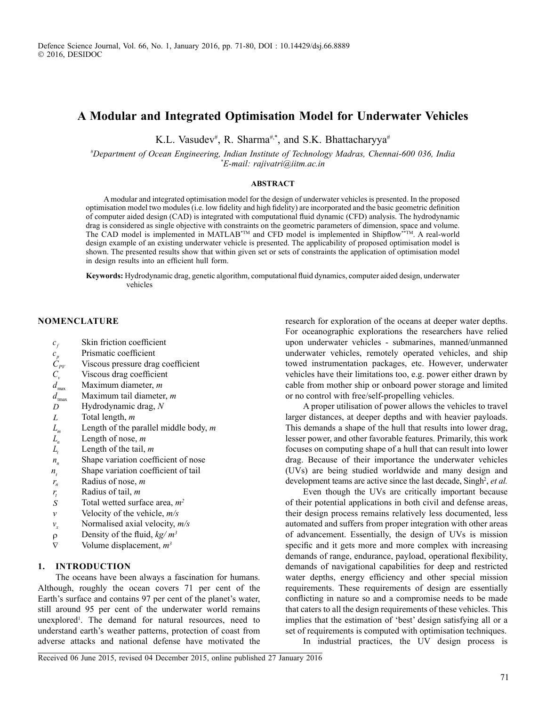# **A Modular and Integrated Optimisation Model for Underwater Vehicles**

K.L. Vasudev<sup>#</sup>, R. Sharma<sup>#,\*</sup>, and S.K. Bhattacharyya<sup>#</sup>

*# Department of Ocean Engineering, Indian Institute of Technology Madras, Chennai-600 036, India \* E-mail: rajivatri@iitm.ac.in*

## **ABSTRACT**

A modular and integrated optimisation model for the design of underwater vehicles is presented. In the proposed optimisation model two modules(i.e. low fidelity and high fidelity) are incorporated and the basic geometric definition of computer aided design (CAD) is integrated with computational fluid dynamic (CFD) analysis. The hydrodynamic drag is considered as single objective with constraints on the geometric parameters of dimension, space and volume. The CAD model is implemented in MATLAB<sup>\*™</sup> and CFD model is implemented in Shipflow<sup>\*\*™</sup>. A real-world design example of an existing underwater vehicle is presented. The applicability of proposed optimisation model is shown. The presented results show that within given set or sets of constraints the application of optimisation model in design results into an efficient hull form.

**Keywords:** Hydrodynamic drag, genetic algorithm, computational fluid dynamics, computer aided design, underwater vehicles

# **NOMENCLATURE**

- 
- **Prismatic coefficient**
- *c<sub>p</sub>* Skin friction coefficient<br> *C<sub>pV</sub>* Viscous pressure drag co<br> *C<sub>v</sub>* Viscous drag coefficient<br> *d*<sub>max</sub> Maximum diameter, *m* Viscous pressure drag coefficient
- **Viscous drag coefficient**
- 
- $d_{\text{max}}$  Maximum diameter, *m*<br> $d_{\text{max}}$  Maximum tail diamete
- *d*<sub>tmax</sub> Maximum tail diameter, *m*<br>*D* Hydrodynamic drag, *N D* Hydrodynamic drag, *N*
- *L* Total length, *m*
- *L<sub>m</sub>* Length of the parallel middle body, *m* Length of nose, *m*
- 
- $L_n$  Length of nose, *m*<br> $L_t$  Length of the tail, Length of the tail, *m*
- $n_n$  Shape variation coefficient of nose
- *nt* Shape variation coefficient of tail
- *nr* Radius of nose, *m*
- *tr* Radius of tail, *m*
- *S* Total wetted surface area,  $m^2$
- *v* Velocity of the vehicle, *m/s*
- $v_x$  Normalised axial velocity,  $m/s$
- ρ Density of the fluid, *kg/ m3*
- $\nabla$  Volume displacement,  $m^3$

## **1. INTRODUCTION**

The oceans have been always a fascination for humans. Although, roughly the ocean covers 71 per cent of the Earth's surface and contains 97 per cent of the planet's water, still around 95 per cent of the underwater world remains unexplored<sup>1</sup>. The demand for natural resources, need to understand earth's weather patterns, protection of coast from adverse attacks and national defense have motivated the

research for exploration of the oceans at deeper water depths. For oceanographic explorations the researchers have relied upon underwater vehicles - submarines, manned/unmanned underwater vehicles, remotely operated vehicles, and ship towed instrumentation packages, etc. However, underwater vehicles have their limitations too, e.g. power either drawn by cable from mother ship or onboard power storage and limited or no control with free/self-propelling vehicles.

A proper utilisation of power allows the vehicles to travel larger distances, at deeper depths and with heavier payloads. This demands a shape of the hull that results into lower drag, lesser power, and other favorable features. Primarily, this work focuses on computing shape of a hull that can result into lower drag. Because of their importance the underwater vehicles (UVs) are being studied worldwide and many design and development teams are active since the last decade, Singh<sup>2</sup>, et al.

Even though the UVs are critically important because of their potential applications in both civil and defense areas, their design process remains relatively less documented, less automated and suffers from proper integration with other areas of advancement. Essentially, the design of UVs is mission specific and it gets more and more complex with increasing demands of range, endurance, payload, operational flexibility, demands of navigational capabilities for deep and restricted water depths, energy efficiency and other special mission requirements. These requirements of design are essentially conflicting in nature so and a compromise needs to be made that caters to all the design requirements of these vehicles. This implies that the estimation of 'best' design satisfying all or a set of requirements is computed with optimisation techniques.

In industrial practices, the UV design process is

Received 06 June 2015, revised 04 December 2015, online published 27 January 2016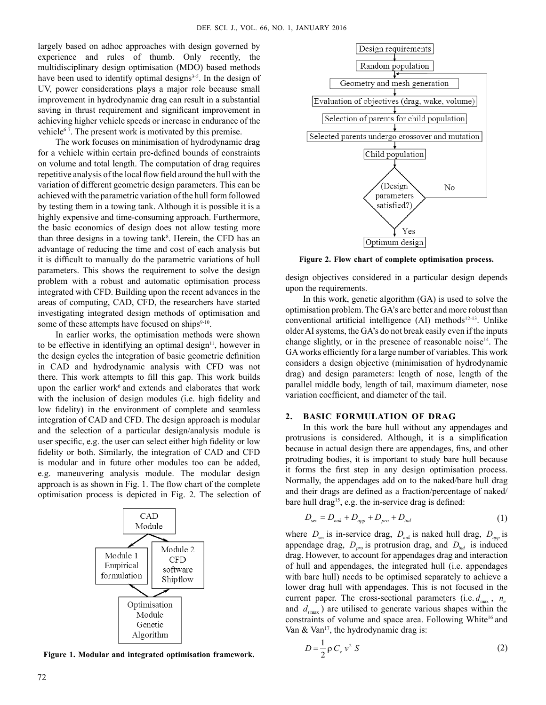largely based on adhoc approaches with design governed by experience and rules of thumb. Only recently, the multidisciplinary design optimisation (MDO) based methods have been used to identify optimal designs<sup>3-5</sup>. In the design of UV, power considerations plays a major role because small improvement in hydrodynamic drag can result in a substantial saving in thrust requirement and significant improvement in achieving higher vehicle speeds or increase in endurance of the vehicle<sup>6-7</sup>. The present work is motivated by this premise.

The work focuses on minimisation of hydrodynamic drag for a vehicle within certain pre-defined bounds of constraints on volume and total length. The computation of drag requires repetitive analysis of the local flow field around the hull with the variation of different geometric design parameters. This can be achieved with the parametric variation of the hull form followed by testing them in a towing tank. Although it is possible it is a highly expensive and time-consuming approach. Furthermore, the basic economics of design does not allow testing more than three designs in a towing tank<sup>8</sup>. Herein, the CFD has an advantage of reducing the time and cost of each analysis but it is difficult to manually do the parametric variations of hull parameters. This shows the requirement to solve the design problem with a robust and automatic optimisation process integrated with CFD. Building upon the recent advances in the areas of computing, CAD, CFD, the researchers have started investigating integrated design methods of optimisation and some of these attempts have focused on ships $9-10$ .

In earlier works, the optimisation methods were shown to be effective in identifying an optimal design<sup>11</sup>, however in the design cycles the integration of basic geometric definition in CAD and hydrodynamic analysis with CFD was not there. This work attempts to fill this gap. This work builds upon the earlier work $6$  and extends and elaborates that work with the inclusion of design modules (i.e. high fidelity and low fidelity) in the environment of complete and seamless integration of CAD and CFD. The design approach is modular and the selection of a particular design/analysis module is user specific, e.g. the user can select either high fidelity or low fidelity or both. Similarly, the integration of CAD and CFD is modular and in future other modules too can be added, e.g. maneuvering analysis module. The modular design approach is as shown in Fig. 1. The flow chart of the complete optimisation process is depicted in Fig. 2. The selection of



**Figure 1. Modular and integrated optimisation framework.** 



**Figure 2. Flow chart of complete optimisation process.**

design objectives considered in a particular design depends upon the requirements.

In this work, genetic algorithm (GA) is used to solve the optimisation problem. The GA's are better and more robust than conventional artificial intelligence (AI) methods<sup>12-13</sup>. Unlike older AI systems, the GA's do not break easily even if the inputs change slightly, or in the presence of reasonable noise<sup>14</sup>. The GAworks efficiently for a large number of variables. This work considers a design objective (minimisation of hydrodynamic drag) and design parameters: length of nose, length of the parallel middle body, length of tail, maximum diameter, nose variation coefficient, and diameter of the tail.

# **2. BASIC FORMULATION OF DRAG**

In this work the bare hull without any appendages and protrusions is considered. Although, it is a simplification because in actual design there are appendages, fins, and other protruding bodies, it is important to study bare hull because it forms the first step in any design optimisation process. Normally, the appendages add on to the naked/bare hull drag and their drags are defined as a fraction/percentage of naked/ bare hull drag<sup>15</sup>, e.g. the in-service drag is defined:

$$
D_{\rm ser} = D_{\rm nak} + D_{\rm app} + D_{\rm pro} + D_{\rm ind} \tag{1}
$$

where  $D_{\text{ser}}$  is in-service drag,  $D_{\text{nat}}$  is naked hull drag,  $D_{\text{app}}$  is appendage drag,  $D_{\text{pro}}$  is protrusion drag, and  $D_{\text{ind}}$  is induced drag. However, to account for appendages drag and interaction of hull and appendages, the integrated hull (i.e. appendages with bare hull) needs to be optimised separately to achieve a lower drag hull with appendages. This is not focused in the current paper. The cross-sectional parameters (i.e.  $d_{\text{max}}$ ,  $n_n$ ) and  $d_{\text{tmax}}$ ) are utilised to generate various shapes within the constraints of volume and space area. Following White<sup>16</sup> and Van & Van<sup>17</sup>, the hydrodynamic drag is:

$$
D = \frac{1}{2} \rho C_v v^2 S
$$
 (2)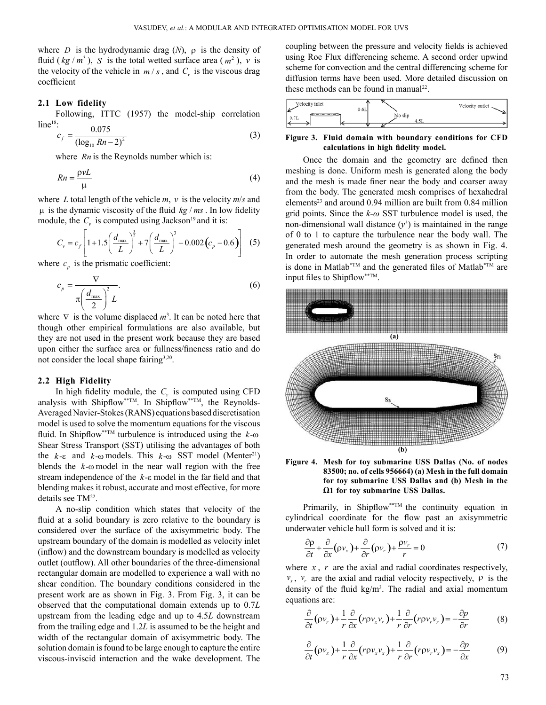where *D* is the hydrodynamic drag  $(N)$ ,  $\rho$  is the density of fluid ( $kg/m^3$ ), *S* is the total wetted surface area ( $m^2$ ), *v* is the velocity of the vehicle in  $m / s$ , and  $C_v$  is the viscous drag coefficient

## **2.1 Low fidelity**

Following, ITTC (1957) the model-ship correlation  $line<sup>18</sup>$ : 0.075

$$
c_f = \frac{0.079}{(\log_{10} Rn - 2)^2} \tag{3}
$$

where *Rn* is the Reynolds number which is:

$$
Rn = \frac{\rho vL}{\mu} \tag{4}
$$

where *L* total length of the vehicle  $m$ ,  $v$  is the velocity  $m/s$  and  $\mu$  is the dynamic viscosity of the fluid *kg / ms*. In low fidelity module, the  $C_v$  is computed using Jackson<sup>19</sup> and it is:

$$
C_{v} = c_{f} \left[ 1 + 1.5 \left( \frac{d_{\text{max}}}{L} \right)^{\frac{3}{2}} + 7 \left( \frac{d_{\text{max}}}{L} \right)^{3} + 0.002 \left( c_{p} - 0.6 \right) \right] (5)
$$

where  $c_p$  is the prismatic coefficient:

$$
c_p = \frac{\nabla}{\pi \left(\frac{d_{\text{max}}}{2}\right)^2 L}.
$$
\n(6)

where  $\nabla$  is the volume displaced  $m^3$ . It can be noted here that though other empirical formulations are also available, but they are not used in the present work because they are based upon either the surface area or fullness/fineness ratio and do not consider the local shape fairing<sup>3,20</sup>.

# **2.2 High Fidelity**

In high fidelity module, the  $C<sub>v</sub>$  is computed using CFD analysis with Shipflow<sup>\*\*TM</sup>. In Shipflow<sup>\*\*TM</sup>, the Reynolds-Averaged Navier-Stokes (RANS) equations based discretisation model is used to solve the momentum equations for the viscous fluid. In Shipflow\*\*TM turbulence is introduced using the *k*-ω Shear Stress Transport (SST) utilising the advantages of both the *k*-ε and *k*-ω models. This *k*-ω SST model (Menter<sup>21</sup>) blends the *k*-ω model in the near wall region with the free stream independence of the *k*-ε model in the far field and that blending makes it robust, accurate and most effective, for more details see TM<sup>22</sup>.

A no-slip condition which states that velocity of the fluid at a solid boundary is zero relative to the boundary is considered over the surface of the axisymmetric body. The upstream boundary of the domain is modelled as velocity inlet (inflow) and the downstream boundary is modelled as velocity outlet (outflow). All other boundaries of the three-dimensional rectangular domain are modelled to experience a wall with no shear condition. The boundary conditions considered in the present work are as shown in Fig. 3. From Fig. 3, it can be observed that the computational domain extends up to 0.7*L* upstream from the leading edge and up to 4.5*L* downstream from the trailing edge and 1.2*L* is assumed to be the height and width of the rectangular domain of axisymmetric body. The solution domain is found to be large enough to capture the entire viscous-inviscid interaction and the wake development. The

coupling between the pressure and velocity fields is achieved using Roe Flux differencing scheme. A second order upwind scheme for convection and the central differencing scheme for diffusion terms have been used. More detailed discussion on these methods can be found in manual<sup>22</sup>.

| Velocity inlet | 0.6L    | Velocity outlet |
|----------------|---------|-----------------|
| 0.7L           | No slip |                 |

## **Figure 3. Fluid domain with boundary conditions for CFD calculations in high fidelity model.**

Once the domain and the geometry are defined then meshing is done. Uniform mesh is generated along the body and the mesh is made finer near the body and coarser away from the body. The generated mesh comprises of hexahedral elements<sup>23</sup> and around 0.94 million are built from 0.84 million grid points. Since the *k-ω* SST turbulence model is used, the non-dimensional wall distance  $(y^+)$  is maintained in the range of 0 to 1 to capture the turbulence near the body wall. The generated mesh around the geometry is as shown in Fig. 4. In order to automate the mesh generation process scripting is done in Matlab<sup>\*TM</sup> and the generated files of Matlab<sup>\*TM</sup> are input files to Shipflow\*\*TM.





Primarily, in Shipflow<sup>\*\*TM</sup> the continuity equation in cylindrical coordinate for the flow past an axisymmetric underwater vehicle hull form is solved and it is:

$$
\frac{\partial \rho}{\partial t} + \frac{\partial}{\partial x} (\rho v_x) + \frac{\partial}{\partial r} (\rho v_r) + \frac{\rho v_r}{r} = 0 \tag{7}
$$

where *x* , *r* are the axial and radial coordinates respectively, *v*<sub>*x*</sub>, *v<sub><i>r*</sub> are the axial and radial velocity respectively,  $ρ$  is the density of the fluid  $kg/m<sup>3</sup>$ . The radial and axial momentum equations are:

$$
\frac{\partial}{\partial t}(\rho v_r) + \frac{1}{r} \frac{\partial}{\partial x} (r \rho v_x v_r) + \frac{1}{r} \frac{\partial}{\partial r} (r \rho v_r v_r) = -\frac{\partial p}{\partial r}
$$
(8)

$$
\frac{\partial}{\partial t}(\rho v_x) + \frac{1}{r} \frac{\partial}{\partial x} (r \rho v_x v_x) + \frac{1}{r} \frac{\partial}{\partial r} (r \rho v_r v_x) = -\frac{\partial p}{\partial x} \tag{9}
$$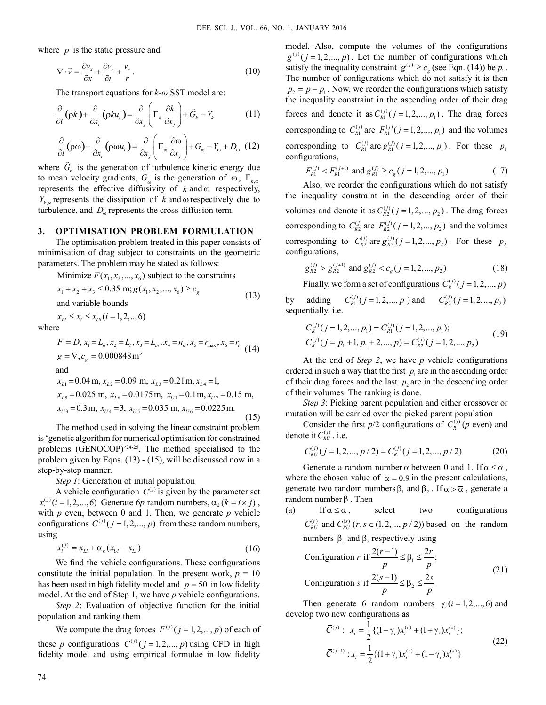where *p* is the static pressure and

$$
\nabla \cdot \vec{v} = \frac{\partial v_x}{\partial x} + \frac{\partial v_r}{\partial r} + \frac{v_r}{r}.
$$
 (10)

The transport equations for *k-ω* SST model are:

$$
\frac{\partial}{\partial t}(\rho k) + \frac{\partial}{\partial x_i}(\rho k u_i) = \frac{\partial}{\partial x_j} \left( \Gamma_k \frac{\partial k}{\partial x_j} \right) + \tilde{G}_k - Y_k \tag{11}
$$

$$
\frac{\partial}{\partial t}(\rho\omega) + \frac{\partial}{\partial x_i}(\rho\omega u_i) = \frac{\partial}{\partial x_j} \left( \Gamma_\omega \frac{\partial \omega}{\partial x_j} \right) + G_\omega - Y_\omega + D_\omega \quad (12)
$$

where  $\tilde{G}_k$  is the generation of turbulence kinetic energy due to mean velocity gradients,  $G_{\omega}$  is the generation of ω, Γ<sub>k ω</sub> represents the effective diffusivity of  $k$  and  $\omega$  respectively,  $Y_{k}$  represents the dissipation of *k* and  $\omega$  respectively due to turbulence, and  $D_{\omega}$  represents the cross-diffusion term.

# **3. OPTIMISATION PROBLEM FORMULATION**

The optimisation problem treated in this paper consists of minimisation of drag subject to constraints on the geometric parameters. The problem may be stated as follows:

Minimize  $F(x_1, x_2, \ldots, x_6)$  subject to the constraints

$$
x_1 + x_2 + x_3 \le 0.35 \text{ m}; g(x_1, x_2, ..., x_6) \ge c_g
$$
  
and variable bounds (13)

 $x_{\text{Li}} \leq x_i \leq x_{\text{Ui}} (i = 1, 2, \ldots, 6)$ 

where

$$
F = D, x_1 = L_n, x_2 = L_t, x_3 = L_m, x_4 = n_n, x_5 = r_{\text{max}}, x_6 = r_t
$$
\n
$$
g = \nabla, c_g = 0.000848 \text{ m}^3
$$
\nand\n
$$
x_{L1} = 0.04 \text{ m}, x_{L2} = 0.09 \text{ m}, x_{L3} = 0.21 \text{ m}, x_{L4} = 1,
$$
\n
$$
x_{L5} = 0.025 \text{ m}, x_{L6} = 0.0175 \text{ m}, x_{U1} = 0.1 \text{ m}, x_{U2} = 0.15 \text{ m},
$$
\n
$$
x_{U3} = 0.3 \text{ m}, x_{U4} = 3, x_{U5} = 0.035 \text{ m}, x_{U6} = 0.0225 \text{ m}.
$$
\n(15)

The method used in solving the linear constraint problem is 'genetic algorithm for numerical optimisation for constrained problems (GENOCOP)'24-25. The method specialised to the problem given by Eqns. (13) - (15), will be discussed now in a step-by-step manner.

*Step 1*: Generation of initial population

A vehicle configuration  $C^{(j)}$  is given by the parameter set  $x_i^{(j)}$  ( $i = 1, 2, \ldots, 6$ ) Generate 6*p* random numbers,  $\alpha_k$  ( $k = i \times j$ ), with *p* even, between 0 and 1. Then, we generate *p* vehicle configurations  $C^{(j)}$  ( $j = 1, 2, ..., p$ ) from these random numbers, using

$$
x_i^{(j)} = x_{Li} + \alpha_k (x_{U_i} - x_{Li})
$$
\n(16)

We find the vehicle configurations. These configurations constitute the initial population. In the present work,  $p = 10$ has been used in high fidelity model and  $p = 50$  in low fidelity model. At the end of Step 1, we have *p* vehicle configurations.

*Step 2*: Evaluation of objective function for the initial population and ranking them

We compute the drag forces  $F^{(j)}$  (  $j = 1, 2, ..., p$  ) of each of these *p* configurations  $C^{(j)}$  ( $j = 1, 2, ..., p$ ) using CFD in high fidelity model and using empirical formulae in low fidelity

model. Also, compute the volumes of the configurations  $g^{(j)}$  ( $j = 1, 2, ..., p$ ). Let the number of configurations which satisfy the inequality constraint  $g^{(j)} \geq c_g$  (see Eqn. (14)) be  $p_1$ . The number of configurations which do not satisfy it is then  $p_2 = p - p_1$ . Now, we reorder the configurations which satisfy the inequality constraint in the ascending order of their drag forces and denote it as  $C_{R1}^{(j)}$  ( $j = 1, 2, ..., p_1$ ). The drag forces corresponding to  $C_{R1}^{(j)}$  are  $F_{R1}^{(j)}$  ( $j = 1, 2, ..., p_1$ ) and the volumes corresponding to  $C_{R1}^{(j)}$  are  $g_{R1}^{(j)}$  ( $j = 1, 2, ..., p_1$ ). For these  $p_1$ configurations,

$$
F_{R1}^{(j)} < F_{R1}^{(j+1)} \text{ and } g_{R1}^{(j)} \ge c_g \left( j = 1, 2, \dots, p_1 \right) \tag{17}
$$

Also, we reorder the configurations which do not satisfy the inequality constraint in the descending order of their volumes and denote it as  $C_{R2}^{(j)}$  ( $j = 1, 2, ..., p_2$ ). The drag forces corresponding to  $C_{R2}^{(j)}$  are  $F_{R2}^{(j)}$  ( $j = 1, 2, ..., p_2$ ) and the volumes corresponding to  $C_{R_2}^{(j)}$  are  $g_{R_2}^{(j)}$  ( $j = 1, 2, ..., p_2$ ). For these  $p_2$ configurations,

$$
g_{R2}^{(j)} > g_{R2}^{(j+1)}
$$
 and  $g_{R2}^{(j)} < c_g$   $(j = 1, 2, ..., p_2)$  (18)

Finally, we form a set of configurations  $C_R^{(j)}$  ( $j = 1, 2, ..., p$ )

by adding  $C_{R1}^{(j)}(j = 1, 2, ..., p_1)$  and  $C_{R2}^{(j)}(j = 1, 2, ..., p_2)$ sequentially, i.e.

$$
C_R^{(j)}(j=1,2,...,p_1) = C_{R1}^{(j)}(j=1,2,...,p_1);
$$
  
\n
$$
C_R^{(j)}(j=p_1+1,p_1+2,...,p) = C_{R2}^{(j)}(j=1,2,...,p_2)
$$
\n(19)

At the end of *Step 2*, we have *p* vehicle configurations ordered in such a way that the first  $p_i$  are in the ascending order of their drag forces and the last  $p_2$  are in the descending order of their volumes. The ranking is done.

*Step 3*: Picking parent population and either crossover or mutation will be carried over the picked parent population

Consider the first  $p/2$  configurations of  $C_R^{(j)}$  (*p* even) and denote it  $C_{RU}^{(j)}$ , i.e.

$$
C_{RU}^{(j)}(j=1,2,...,p/2) = C_R^{(j)}(j=1,2,...,p/2)
$$
 (20)

Generate a random number  $\alpha$  between 0 and 1. If  $\alpha \leq \overline{\alpha}$ , where the chosen value of  $\bar{\alpha} = 0.9$  in the present calculations, generate two random numbers  $\beta_1$  and  $\beta_2$ . If  $\alpha > \overline{\alpha}$ , generate a random number β . Then

(a) If 
$$
\alpha \le \overline{\alpha}
$$
, select two configurations  
\n $C_{RU}^{(r)}$  and  $C_{RU}^{(s)}$  ( $r, s \in (1, 2, ..., p / 2)$ ) based on the random  
\nnumbers  $\beta_1$  and  $\beta_2$  respectively using

Configuration 
$$
r
$$
 if  $\frac{2(r-1)}{p} \leq \beta_1 \leq \frac{2r}{p}$ ;

\nConfiguration  $s$  if  $\frac{2(s-1)}{p} \leq \beta_2 \leq \frac{2s}{p}$ 

\n(21)

Then generate 6 random numbers  $\gamma_i$  ( $i = 1, 2, ..., 6$ ) and develop two new configurations as

$$
\overline{C}^{(j)}: x_i = \frac{1}{2} \{ (1 - \gamma_i) x_i^{(r)} + (1 + \gamma_i) x_i^{(s)} \};
$$
\n
$$
\overline{C}^{(j+1)}: x_i = \frac{1}{2} \{ (1 + \gamma_i) x_i^{(r)} + (1 - \gamma_i) x_i^{(s)} \}
$$
\n(22)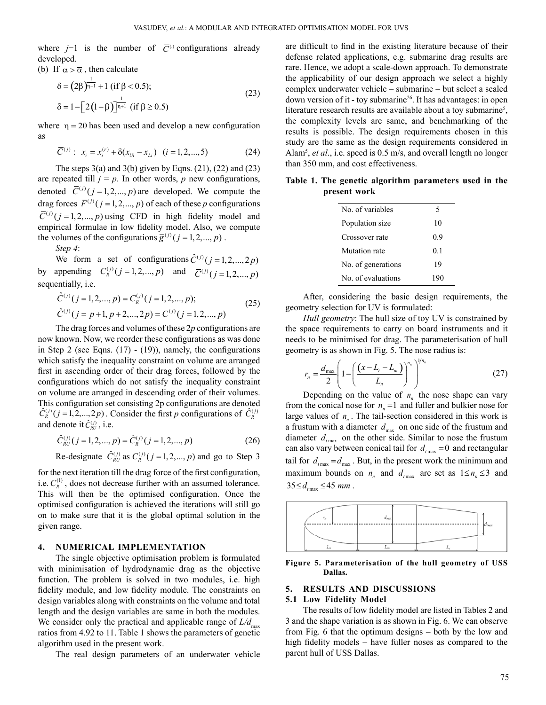where  $j-1$  is the number of  $\overline{C}^{(.)}$  configurations already developed.

(b) If  $\alpha > \overline{\alpha}$ , then calculate

$$
\delta = (2\beta)^{\frac{1}{\eta+1}} + 1 \text{ (if } \beta < 0.5);
$$
  
\n
$$
\delta = 1 - [2(1-\beta)]^{\frac{1}{\eta+1}} \text{ (if } \beta \ge 0.5)
$$
\n(23)

where  $\eta = 20$  has been used and develop a new configuration as

$$
\overline{C}^{(j)}: x_i = x_i^{(r)} + \delta(x_{U_i} - x_{Li}) \quad (i = 1, 2, ..., 5)
$$
 (24)

The steps  $3(a)$  and  $3(b)$  given by Eqns. (21), (22) and (23) are repeated till  $j = p$ . In other words, p new configurations, denoted  $\overline{C}^{(j)}$  ( $j = 1, 2, ..., p$ ) are developed. We compute the drag forces  $\overline{F}^{(j)}$  ( $j = 1, 2, ..., p$ ) of each of these *p* configurations  $\overline{C}^{(j)}$  ( $j = 1, 2, ..., p$ ) using CFD in high fidelity model and empirical formulae in low fidelity model. Also, we compute the volumes of the configurations  $\overline{g}^{(j)}$  (  $j = 1, 2, ..., p$  ).

*Step 4*:

We form a set of configurations  $\hat{C}^{(j)}$  ( $j = 1, 2, ..., 2p$ ) by appending  $C_R^{(j)}$   $(j = 1, 2, ..., p)$  and  $\bar{C}^{(j)}$   $(j = 1, 2, ..., p)$ sequentially, i.e.

$$
\hat{C}^{(j)}(j=1,2,...,p) = C_R^{(j)}(j=1,2,...,p);
$$
  
\n
$$
\hat{C}^{(j)}(j=p+1,p+2,...,2p) = \overline{C}^{(j)}(j=1,2,...,p)
$$
\n(25)

The drag forces and volumes of these 2*p* configurations are now known. Now, we reorder these configurations as was done in Step 2 (see Eqns.  $(17)$  -  $(19)$ ), namely, the configurations which satisfy the inequality constraint on volume are arranged first in ascending order of their drag forces, followed by the configurations which do not satisfy the inequality constraint on volume are arranged in descending order of their volumes. This configuration set consisting 2p configurations are denoted  $\hat{C}_{R}^{(j)}$  ( $j = 1, 2, ..., 2p$ ). Consider the first *p* configurations of  $\hat{C}_{R}^{(j)}$ and denote it  $\hat{C}_{\text{RU}}^{(j)}$ , i.e.

$$
\hat{C}_{RU}^{(j)}(j=1,2,...,p) = \hat{C}_R^{(j)}(j=1,2,...,p)
$$
\n(26)

Re-designate  $\hat{C}_{RU}^{(j)}$  as  $C_R^{(j)}$  ( $j = 1, 2, ..., p$ ) and go to Step 3

for the next iteration till the drag force of the first configuration, i.e.  $C_R^{(1)}$ , does not decrease further with an assumed tolerance. This will then be the optimised configuration. Once the optimised configuration is achieved the iterations will still go on to make sure that it is the global optimal solution in the given range.

#### **4. NUMERICAL IMPLEMENTATION**

The single objective optimisation problem is formulated with minimisation of hydrodynamic drag as the objective function. The problem is solved in two modules, i.e. high fidelity module, and low fidelity module. The constraints on design variables along with constraints on the volume and total length and the design variables are same in both the modules. We consider only the practical and applicable range of  $L/d_{\text{max}}$ ratios from 4.92 to 11. Table 1 shows the parameters of genetic algorithm used in the present work.

The real design parameters of an underwater vehicle

are difficult to find in the existing literature because of their defense related applications, e.g. submarine drag results are rare. Hence, we adopt a scale-down approach. To demonstrate the applicability of our design approach we select a highly complex underwater vehicle – submarine – but select a scaled down version of it - toy submarine<sup>26</sup>. It has advantages: in open literature research results are available about a toy submarine<sup>5</sup>, the complexity levels are same, and benchmarking of the results is possible. The design requirements chosen in this study are the same as the design requirements considered in Alam5 , *et al*., i.e. speed is 0.5 m/s, and overall length no longer than 350 mm, and cost effectiveness.

**Table 1. The genetic algorithm parameters used in the present work**

| No of variables    | 5              |
|--------------------|----------------|
| Population size    | 10             |
| Crossover rate     | 09             |
| Mutation rate      | 0 <sub>1</sub> |
| No. of generations | 19             |
| No of evaluations  | 190            |

After, considering the basic design requirements, the geometry selection for UV is formulated:

*Hull geometry*: The hull size of toy UV is constrained by the space requirements to carry on board instruments and it needs to be minimised for drag. The parameterisation of hull geometry is as shown in Fig. 5. The nose radius is:

$$
r_n = \frac{d_{\max}}{2} \left( 1 - \left( \frac{\left( x - L_{\iota} - L_m \right)}{L_n} \right)^{n_n} \right)^{1/n_n}
$$
 (27)

Depending on the value of  $n_n$  the nose shape can vary from the conical nose for  $n<sub>n</sub> = 1$  and fuller and bulkier nose for large values of  $n_n$ . The tail-section considered in this work is a frustum with a diameter  $d_{\text{max}}$  on one side of the frustum and diameter  $d_{\text{max}}$  on the other side. Similar to nose the frustum can also vary between conical tail for  $d_{t_{\text{max}}} = 0$  and rectangular tail for  $d_{\text{max}} = d_{\text{max}}$ . But, in the present work the minimum and maximum bounds on  $n_n$  and  $d_{t_{\text{max}}}$  are set as  $1 \le n_n \le 3$  and  $35 \le d$ <sub>t max</sub>  $\le 45$  *mm*.



**Figure 5. Parameterisation of the hull geometry of USS Dallas.**

## **5. RESULTS AND DISCUSSIONS**

#### **5.1 Low Fidelity Model**

The results of low fidelity model are listed in Tables 2 and 3 and the shape variation is as shown in Fig. 6. We can observe from Fig. 6 that the optimum designs – both by the low and high fidelity models – have fuller noses as compared to the parent hull of USS Dallas.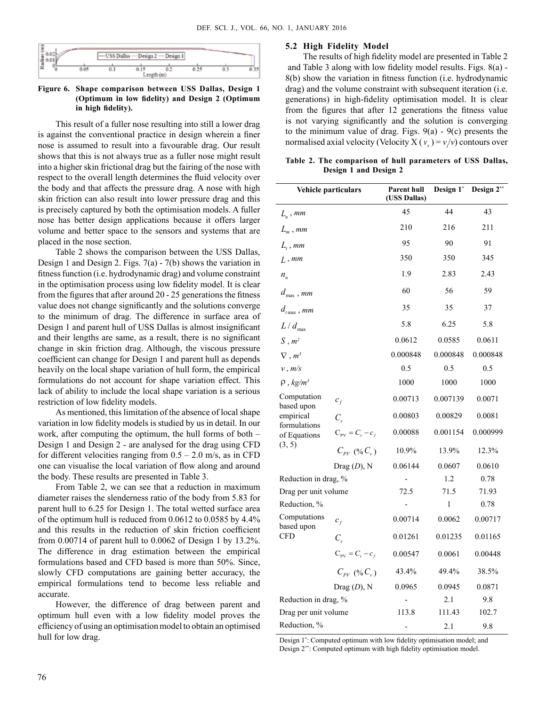

**Figure 6. Shape comparison between USS Dallas, Design 1 (Optimum in low fidelity) and Design 2 (Optimum in high fidelity).**

This result of a fuller nose resulting into still a lower drag is against the conventional practice in design wherein a finer nose is assumed to result into a favourable drag. Our result shows that this is not always true as a fuller nose might result into a higher skin frictional drag but the fairing of the nose with respect to the overall length determines the fluid velocity over the body and that affects the pressure drag. A nose with high skin friction can also result into lower pressure drag and this is precisely captured by both the optimisation models. A fuller nose has better design applications because it offers larger volume and better space to the sensors and systems that are placed in the nose section.

Table 2 shows the comparison between the USS Dallas, Design 1 and Design 2. Figs. 7(a) - 7(b) shows the variation in fitness function (i.e. hydrodynamic drag) and volume constraint in the optimisation process using low fidelity model. It is clear from the figures that after around 20 - 25 generations the fitness value does not change significantly and the solutions converge to the minimum of drag. The difference in surface area of Design 1 and parent hull of USS Dallas is almost insignificant and their lengths are same, as a result, there is no significant change in skin friction drag. Although, the viscous pressure coefficient can change for Design 1 and parent hull as depends heavily on the local shape variation of hull form, the empirical formulations do not account for shape variation effect. This lack of ability to include the local shape variation is a serious restriction of low fidelity models.

As mentioned, this limitation of the absence of local shape variation in low fidelity models is studied by us in detail. In our work, after computing the optimum, the hull forms of both – Design 1 and Design 2 - are analysed for the drag using CFD for different velocities ranging from  $0.5 - 2.0$  m/s, as in CFD one can visualise the local variation of flow along and around the body. These results are presented in Table 3.

From Table 2, we can see that a reduction in maximum diameter raises the slenderness ratio of the body from 5.83 for parent hull to 6.25 for Design 1. The total wetted surface area of the optimum hull is reduced from 0.0612 to 0.0585 by 4.4% and this results in the reduction of skin friction coefficient from 0.00714 of parent hull to 0.0062 of Design 1 by 13.2%. The difference in drag estimation between the empirical formulations based and CFD based is more than 50%. Since, slowly CFD computations are gaining better accuracy, the empirical formulations tend to become less reliable and accurate.

However, the difference of drag between parent and optimum hull even with a low fidelity model proves the efficiency of using an optimisation model to obtain an optimised hull for low drag.

#### **5.2 High Fidelity Model**

The results of high fidelity model are presented in Table 2 and Table 3 along with low fidelity model results. Figs. 8(a) - 8(b) show the variation in fitness function (i.e. hydrodynamic drag) and the volume constraint with subsequent iteration (i.e. generations) in high-fidelity optimisation model. It is clear from the figures that after 12 generations the fitness value is not varying significantly and the solution is converging to the minimum value of drag. Figs.  $9(a) - 9(c)$  presents the normalised axial velocity (Velocity  $X(v_x) = v/v$ ) contours over

**Table 2. The comparison of hull parameters of USS Dallas, Design 1 and Design 2**

| Vehicle particulars                                                              |                                               | <b>Parent hull</b><br>(USS Dallas) | Design 1* | Design 2** |
|----------------------------------------------------------------------------------|-----------------------------------------------|------------------------------------|-----------|------------|
| $L_n$ , mm                                                                       |                                               | 45                                 | 44        | 43         |
| $L_m$ , mm                                                                       |                                               | 210                                | 216       | 211        |
| $L_{\scriptscriptstyle\prime}$ , mm                                              |                                               | 95                                 | 90        | 91         |
| L, mm                                                                            |                                               | 350                                | 350       | 345        |
| $n_{\scriptscriptstyle n}$<br>$d_{\max}$ , mm                                    |                                               | 1.9                                | 2.83      | 2.43       |
|                                                                                  |                                               | 60                                 | 56        | 59         |
| $d_{t_{\max}}$ , mm                                                              |                                               | 35                                 | 35        | 37         |
| $L/d_{\text{max}}$                                                               |                                               | 5.8                                | 6.25      | 5.8        |
| $S, m^2$                                                                         |                                               | 0.0612                             | 0.0585    | 0.0611     |
| $\nabla, m^3$                                                                    |                                               | 0.000848                           | 0.000848  | 0.000848   |
| v, m/s                                                                           |                                               | 0.5                                | 0.5       | 0.5        |
| $\rho$ , kg/m <sup>3</sup>                                                       |                                               | 1000                               | 1000      | 1000       |
| Computation<br>based upon<br>empirical<br>formulations<br>of Equations<br>(3, 5) | $c_f$                                         | 0.00713                            | 0.007139  | 0.0071     |
|                                                                                  | $C_{\nu}$                                     | 0.00803                            | 0.00829   | 0.0081     |
|                                                                                  | $C_{\text{pv}} = C_{\text{v}} - c_{\text{f}}$ | 0.00088                            | 0.001154  | 0.000999   |
|                                                                                  | $C_{pV}$ (% $C_{v}$ )                         | 10.9%                              | 13.9%     | 12.3%      |
|                                                                                  | $\text{ Drag }(D), N$                         | 0.06144                            | 0.0607    | 0.0610     |
| Reduction in drag, %                                                             |                                               |                                    | 1.2       | 0.78       |
| Drag per unit volume                                                             |                                               | 72.5                               | 71.5      | 71.93      |
| Reduction, %                                                                     |                                               |                                    | 1         | 0.78       |
| Computations<br>based upon<br>CFD                                                | $c_f$                                         | 0.00714                            | 0.0062    | 0.00717    |
|                                                                                  | $C_{\rm v}$                                   | 0.01261                            | 0.01235   | 0.01165    |
|                                                                                  | $C_{\text{PV}} = C_{v} - c_{f}$               | 0.00547                            | 0.0061    | 0.00448    |
|                                                                                  | $C_{pV}$ (% $C_{v}$ )                         | 43.4%                              | 49.4%     | 38.5%      |
|                                                                                  | Drag $(D)$ , N                                | 0.0965                             | 0.0945    | 0.0871     |
| Reduction in drag, %                                                             |                                               |                                    | 2.1       | 9.8        |
| Drag per unit volume                                                             |                                               | 113.8                              | 111.43    | 102.7      |
| Reduction, %                                                                     |                                               |                                    | 2.1       | 9.8        |

Design 1\* : Computed optimum with low fidelity optimisation model; and Design 2\*\*: Computed optimum with high fidelity optimisation model.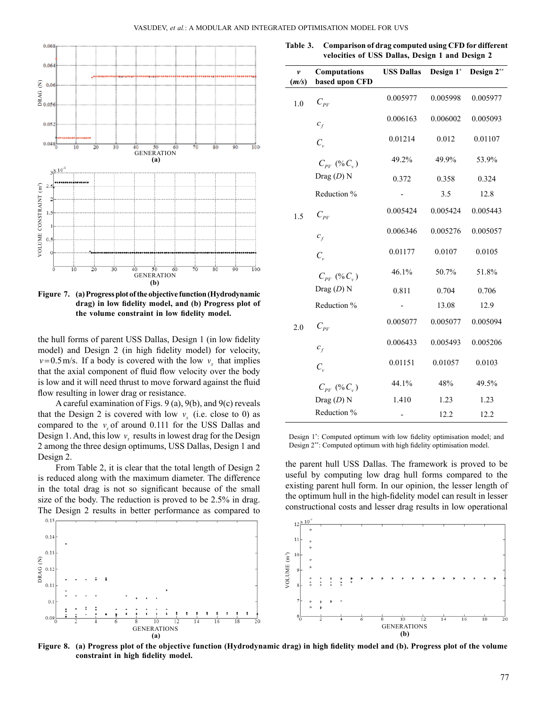

**Figure 7. (a) Progress plot of the objective function (Hydrodynamic drag) in low fidelity model, and (b) Progress plot of the volume constraint in low fidelity model.**

the hull forms of parent USS Dallas, Design 1 (in low fidelity model) and Design 2 (in high fidelity model) for velocity,  $v=0.5$  m/s. If a body is covered with the low  $v<sub>r</sub>$  that implies that the axial component of fluid flow velocity over the body is low and it will need thrust to move forward against the fluid flow resulting in lower drag or resistance.

A careful examination of Figs. 9 (a), 9(b), and 9(c) reveals that the Design 2 is covered with low  $v_r$  (i.e. close to 0) as compared to the  $v<sub>x</sub>$  of around 0.111 for the USS Dallas and Design 1. And, this low  $v_r$  results in lowest drag for the Design 2 among the three design optimums, USS Dallas, Design 1 and Design 2.

From Table 2, it is clear that the total length of Design 2 is reduced along with the maximum diameter. The difference in the total drag is not so significant because of the small size of the body. The reduction is proved to be 2.5% in drag. The Design 2 results in better performance as compared to

**Table 3. Comparison of drag computed using CFD for different velocities of USS Dallas, Design 1 and Design 2**

| v<br>(m/s) | Computations<br>based upon CFD | <b>USS Dallas</b> | Design 1* | Design 2** |
|------------|--------------------------------|-------------------|-----------|------------|
| 1.0        | $C_{\scriptscriptstyle PV}$    | 0.005977          | 0.005998  | 0.005977   |
|            | $c_f$                          | 0.006163          | 0.006002  | 0.005093   |
|            | $C_{\nu}$                      | 0.01214           | 0.012     | 0.01107    |
|            | $C_{pV}$ (% $C_{v}$ )          | 49.2%             | 49.9%     | 53.9%      |
|            | Drag $(D)$ N                   | 0.372             | 0.358     | 0.324      |
|            | Reduction %                    |                   | 3.5       | 12.8       |
| 1.5        | $C_{\rho_V}$                   | 0.005424          | 0.005424  | 0.005443   |
|            | $c_f$                          | 0.006346          | 0.005276  | 0.005057   |
|            | $C_{\nu}$                      | 0.01177           | 0.0107    | 0.0105     |
|            | $C_{pV}$ (% $C_{v}$ )          | 46.1%             | 50.7%     | 51.8%      |
|            | Drag $(D)$ N                   | 0.811             | 0.704     | 0.706      |
|            | Reduction %                    |                   | 13.08     | 12.9       |
| 2.0        | $C_{\rho_V}$                   | 0.005077          | 0.005077  | 0.005094   |
|            | $c_f$                          | 0.006433          | 0.005493  | 0.005206   |
|            | $C_{\nu}$                      | 0.01151           | 0.01057   | 0.0103     |
|            | $C_{pV}$ (% $C_{v}$ )          | 44.1%             | 48%       | 49.5%      |
|            | Drag $(D)$ N                   | 1.410             | 1.23      | 1.23       |
|            | Reduction %                    |                   | 12.2      | 12.2       |

Design 1\* : Computed optimum with low fidelity optimisation model; and Design 2\*\*: Computed optimum with high fidelity optimisation model.

the parent hull USS Dallas. The framework is proved to be useful by computing low drag hull forms compared to the existing parent hull form. In our opinion, the lesser length of the optimum hull in the high-fidelity model can result in lesser constructional costs and lesser drag results in low operational



**Figure 8. (a) Progress plot of the objective function (Hydrodynamic drag) in high fidelity model and (b). Progress plot of the volume constraint in high fidelity model.**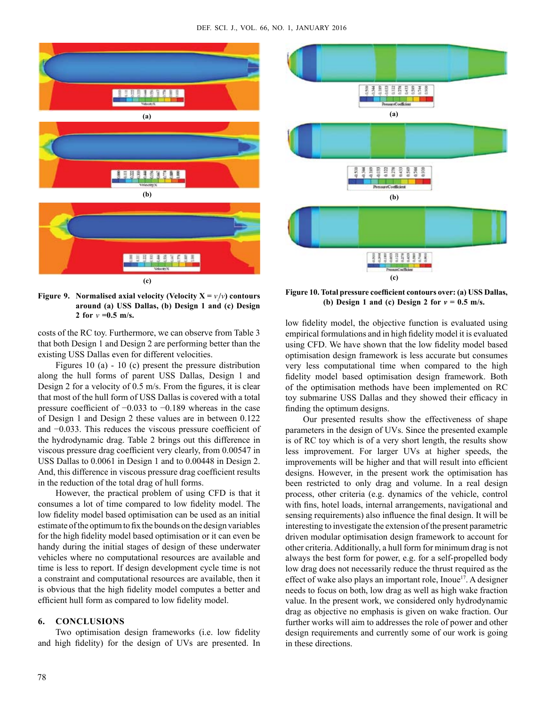

**Figure 9.** Normalised axial velocity (Velocity  $X = v / v$ ) contours **around (a) USS Dallas, (b) Design 1 and (c) Design 2** for  $v = 0.5$  m/s.

costs of the RC toy. Furthermore, we can observe from Table 3 that both Design 1 and Design 2 are performing better than the existing USS Dallas even for different velocities.

Figures 10 (a) - 10 (c) present the pressure distribution along the hull forms of parent USS Dallas, Design 1 and Design 2 for a velocity of 0.5 m/s. From the figures, it is clear that most of the hull form of USS Dallas is covered with a total pressure coefficient of −0.033 to −0.189 whereas in the case of Design 1 and Design 2 these values are in between 0.122 and −0.033. This reduces the viscous pressure coefficient of the hydrodynamic drag. Table 2 brings out this difference in viscous pressure drag coefficient very clearly, from 0.00547 in USS Dallas to 0.0061 in Design 1 and to 0.00448 in Design 2. And, this difference in viscous pressure drag coefficient results in the reduction of the total drag of hull forms.

However, the practical problem of using CFD is that it consumes a lot of time compared to low fidelity model. The low fidelity model based optimisation can be used as an initial estimate of the optimum to fix the bounds on the design variables for the high fidelity model based optimisation or it can even be handy during the initial stages of design of these underwater vehicles where no computational resources are available and time is less to report. If design development cycle time is not a constraint and computational resources are available, then it is obvious that the high fidelity model computes a better and efficient hull form as compared to low fidelity model.

# **6. CONCLUSIONS**

Two optimisation design frameworks (i.e. low fidelity and high fidelity) for the design of UVs are presented. In

83999595 **(a) BARBER (b)** 85882588 **(c)**

**Figure 10. Total pressure coefficient contours over: (a) USS Dallas,**  (b) Design 1 and (c) Design 2 for  $v = 0.5$  m/s.

low fidelity model, the objective function is evaluated using empirical formulations and in high fidelity model it is evaluated using CFD. We have shown that the low fidelity model based optimisation design framework is less accurate but consumes very less computational time when compared to the high fidelity model based optimisation design framework. Both of the optimisation methods have been implemented on RC toy submarine USS Dallas and they showed their efficacy in finding the optimum designs.

Our presented results show the effectiveness of shape parameters in the design of UVs. Since the presented example is of RC toy which is of a very short length, the results show less improvement. For larger UVs at higher speeds, the improvements will be higher and that will result into efficient designs. However, in the present work the optimisation has been restricted to only drag and volume. In a real design process, other criteria (e.g. dynamics of the vehicle, control with fins, hotel loads, internal arrangements, navigational and sensing requirements) also influence the final design. It will be interesting to investigate the extension of the present parametric driven modular optimisation design framework to account for other criteria. Additionally, a hull form for minimum drag is not always the best form for power, e.g. for a self-propelled body low drag does not necessarily reduce the thrust required as the effect of wake also plays an important role, Inoue<sup>17</sup>. A designer needs to focus on both, low drag as well as high wake fraction value. In the present work, we considered only hydrodynamic drag as objective no emphasis is given on wake fraction. Our further works will aim to addresses the role of power and other design requirements and currently some of our work is going in these directions.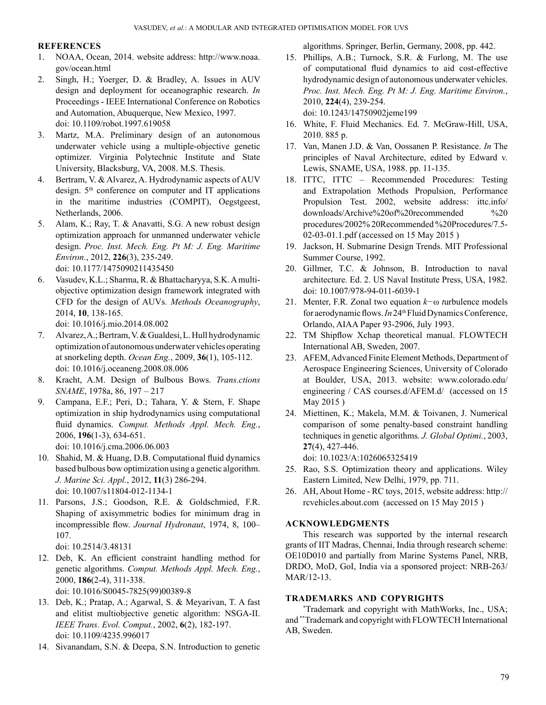# **References**

- 1. NOAA, Ocean, 2014. website address: http://www.noaa. gov/ocean.html
- 2. Singh, H.; Yoerger, D. & Bradley, A. Issues in AUV design and deployment for oceanographic research. *In*  Proceedings - IEEE International Conference on Robotics and Automation, Abuquerque, New Mexico, 1997. doi: 10.1109/robot.1997.619058
- 3. Martz, M.A. Preliminary design of an autonomous underwater vehicle using a multiple-objective genetic optimizer. Virginia Polytechnic Institute and State University, Blacksburg, VA, 2008. M.S. Thesis.
- 4. Bertram, V. & Alvarez, A. Hydrodynamic aspects of AUV design.  $5<sup>th</sup>$  conference on computer and IT applications in the maritime industries (COMPIT), Oegstgeest, Netherlands, 2006.
- 5. Alam, K.; Ray, T. & Anavatti, S.G. A new robust design optimization approach for unmanned underwater vehicle design. *Proc. Inst. Mech. Eng. Pt M: J. Eng. Maritime Environ.*, 2012, **226**(3), 235-249. doi: 10.1177/1475090211435450
- 6. Vasudev, K.L.; Sharma, R. & Bhattacharyya, S.K. A multiobjective optimization design framework integrated with CFD for the design of AUVs. *Methods Oceanography*, 2014, **10**, 138-165.

doi: 10.1016/j.mio.2014.08.002

- 7. Alvarez,A.;Bertram,V.&Gualdesi,L.Hullhydrodynamic optimization of autonomous underwater vehicles operating at snorkeling depth. *Ocean Eng.*, 2009, **36**(1), 105-112. doi: 10.1016/j.oceaneng.2008.08.006
- 8. Kracht, A.M. Design of Bulbous Bows. *Trans.ctions SNAME*, 1978a, 86, 197 – 217
- 9. Campana, E.F.; Peri, D.; Tahara, Y. & Stern, F. Shape optimization in ship hydrodynamics using computational fluid dynamics. *Comput. Methods Appl. Mech. Eng.*, 2006, **196**(1-3), 634-651. doi: 10.1016/j.cma.2006.06.003
- 10. Shahid, M. & Huang, D.B. Computational fluid dynamics based bulbous bow optimization using a genetic algorithm. *J. Marine Sci. Appl.*, 2012, **11**(3) 286-294. doi: 10.1007/s11804-012-1134-1
- 11. Parsons, J.S.; Goodson, R.E. & Goldschmied, F.R. Shaping of axisymmetric bodies for minimum drag in incompressible flow. *Journal Hydronaut*, 1974, 8, 100– 107.

doi: 10.2514/3.48131

- 12. Deb, K. An efficient constraint handling method for genetic algorithms. *Comput. Methods Appl. Mech. Eng.*, 2000, **186**(2-4), 311-338. doi: 10.1016/S0045-7825(99)00389-8
- 13. Deb, K.; Pratap, A.; Agarwal, S. & Meyarivan, T. A fast and elitist multiobjective genetic algorithm: NSGA-II. *IEEE Trans. Evol. Comput.*, 2002, **6**(2), 182-197. doi: 10.1109/4235.996017
- 14. Sivanandam, S.N. & Deepa, S.N. Introduction to genetic

algorithms. Springer, Berlin, Germany, 2008, pp. 442.

15. Phillips, A.B.; Turnock, S.R. & Furlong, M. The use of computational fluid dynamics to aid cost-effective hydrodynamic design of autonomous underwater vehicles. *Proc. Inst. Mech. Eng. Pt M: J. Eng. Maritime Environ.*, 2010, **224**(4), 239-254. doi: 10.1243/14750902jeme199

16. White, F. Fluid Mechanics. Ed. 7. McGraw-Hill, USA, 2010. 885 p.

- 17. Van, Manen J.D. & Van, Oossanen P. Resistance. *In* The principles of Naval Architecture, edited by Edward v. Lewis, SNAME, USA, 1988. pp. 11-135.
- 18. ITTC, ITTC Recommended Procedures: Testing and Extrapolation Methods Propulsion, Performance Propulsion Test. 2002, website address: ittc.info/ downloads/Archive%20of%20recommended %20 procedures/2002% 20Recommended %20Procedures/7.5- 02-03-01.1.pdf (accessed on 15 May 2015 )
- 19. Jackson, H. Submarine Design Trends. MIT Professional Summer Course, 1992.
- 20. Gillmer, T.C. & Johnson, B. Introduction to naval architecture. Ed. 2. US Naval Institute Press, USA, 1982. doi: 10.1007/978-94-011-6039-1
- 21. Menter, F.R. Zonal two equation *k−*ω *t*urbulence models for aerodynamic flows. *In* 24<sup>th</sup> Fluid Dynamics Conference, Orlando, AIAA Paper 93-2906, July 1993.
- 22. TM Shipflow Xchap theoretical manual. FLOWTECH International AB, Sweden, 2007.
- 23. AFEM, Advanced Finite Element Methods, Department of Aerospace Engineering Sciences, University of Colorado at Boulder, USA, 2013. website: www.colorado.edu/ engineering / CAS courses.d/AFEM.d/ (accessed on 15 May 2015 )
- 24. Miettinen, K.; Makela, M.M. & Toivanen, J. Numerical comparison of some penalty-based constraint handling techniques in genetic algorithms. *J. Global Optimi.*, 2003, **27**(4), 427-446.

doi: 10.1023/A:1026065325419

- 25. Rao, S.S. Optimization theory and applications. Wiley Eastern Limited, New Delhi, 1979, pp. 711.
- 26. AH, About Home RC toys, 2015, website address: http:// rcvehicles.about.com (accessed on 15 May 2015 )

# **Acknowledgments**

This research was supported by the internal research grants of IIT Madras, Chennai, India through research scheme: OE10D010 and partially from Marine Systems Panel, NRB, DRDO, MoD, GoI, India via a sponsored project: NRB-263/ MAR/12-13.

# **Trademarks and copyrights**

\* Trademark and copyright with MathWorks, Inc., USA; and \*\*Trademark and copyright with FLOWTECH International AB, Sweden.